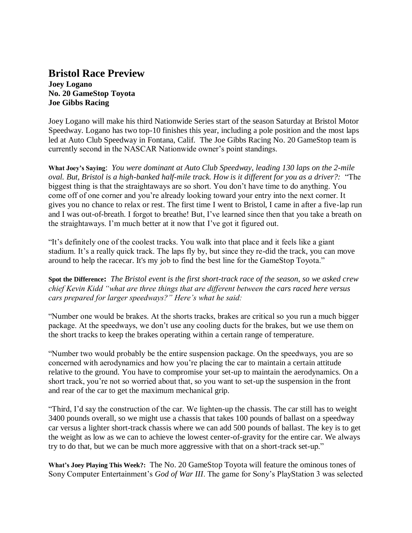## **Bristol Race Preview**

**Joey Logano No. 20 GameStop Toyota Joe Gibbs Racing**

Joey Logano will make his third Nationwide Series start of the season Saturday at Bristol Motor Speedway. Logano has two top-10 finishes this year, including a pole position and the most laps led at Auto Club Speedway in Fontana, Calif. The Joe Gibbs Racing No. 20 GameStop team is currently second in the NASCAR Nationwide owner's point standings.

**What Joey's Saying**: *You were dominant at Auto Club Speedway, leading 130 laps on the 2-mile oval. But, Bristol is a high-banked half-mile track. How is it different for you as a driver?:* "The biggest thing is that the straightaways are so short. You don't have time to do anything. You come off of one corner and you're already looking toward your entry into the next corner. It gives you no chance to relax or rest. The first time I went to Bristol, I came in after a five-lap run and I was out-of-breath. I forgot to breathe! But, I've learned since then that you take a breath on the straightaways. I'm much better at it now that I've got it figured out.

"It's definitely one of the coolest tracks. You walk into that place and it feels like a giant stadium. It's a really quick track. The laps fly by, but since they re-did the track, you can move around to help the racecar. It's my job to find the best line for the GameStop Toyota."

**Spot the Difference:** *The Bristol event is the first short-track race of the season, so we asked crew chief Kevin Kidd "what are three things that are different between the cars raced here versus cars prepared for larger speedways?" Here's what he said:*

"Number one would be brakes. At the shorts tracks, brakes are critical so you run a much bigger package. At the speedways, we don't use any cooling ducts for the brakes, but we use them on the short tracks to keep the brakes operating within a certain range of temperature.

"Number two would probably be the entire suspension package. On the speedways, you are so concerned with aerodynamics and how you're placing the car to maintain a certain attitude relative to the ground. You have to compromise your set-up to maintain the aerodynamics. On a short track, you're not so worried about that, so you want to set-up the suspension in the front and rear of the car to get the maximum mechanical grip.

"Third, I'd say the construction of the car. We lighten-up the chassis. The car still has to weight 3400 pounds overall, so we might use a chassis that takes 100 pounds of ballast on a speedway car versus a lighter short-track chassis where we can add 500 pounds of ballast. The key is to get the weight as low as we can to achieve the lowest center-of-gravity for the entire car. We always try to do that, but we can be much more aggressive with that on a short-track set-up."

**What's Joey Playing This Week?:** The No. 20 GameStop Toyota will feature the ominous tones of Sony Computer Entertainment's *God of War III*. The game for Sony's PlayStation 3 was selected